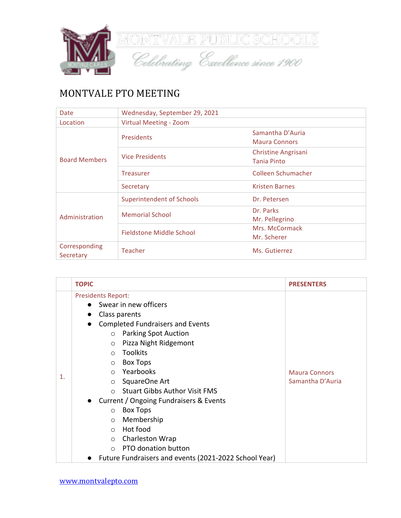

## MONTVALE PTO MEETING

| Date                       | Wednesday, September 29, 2021    |                       |  |
|----------------------------|----------------------------------|-----------------------|--|
| Location                   | Virtual Meeting - Zoom           |                       |  |
|                            | <b>Presidents</b>                | Samantha D'Auria      |  |
|                            |                                  | <b>Maura Connors</b>  |  |
|                            | <b>Vice Presidents</b>           | Christine Angrisani   |  |
| <b>Board Members</b>       |                                  | <b>Tania Pinto</b>    |  |
|                            | <b>Treasurer</b>                 | Colleen Schumacher    |  |
|                            | Secretary                        | <b>Kristen Barnes</b> |  |
|                            | <b>Superintendent of Schools</b> | Dr. Petersen          |  |
|                            | <b>Memorial School</b>           | Dr. Parks             |  |
| Administration             |                                  | Mr. Pellegrino        |  |
|                            | Fieldstone Middle School         | Mrs. McCormack        |  |
|                            |                                  | Mr. Scherer           |  |
| Corresponding<br>Secretary | <b>Teacher</b><br>Ms. Gutierrez  |                       |  |

|    | <b>TOPIC</b>                                                                                                                                                                                                                                                                                                                                                                                                                                                                                                                                                                                                       | <b>PRESENTERS</b>                        |
|----|--------------------------------------------------------------------------------------------------------------------------------------------------------------------------------------------------------------------------------------------------------------------------------------------------------------------------------------------------------------------------------------------------------------------------------------------------------------------------------------------------------------------------------------------------------------------------------------------------------------------|------------------------------------------|
| 1. | <b>Presidents Report:</b><br>Swear in new officers<br>Class parents<br><b>Completed Fundraisers and Events</b><br><b>Parking Spot Auction</b><br>$\circ$<br>Pizza Night Ridgemont<br>$\circ$<br><b>Toolkits</b><br>$\Omega$<br><b>Box Tops</b><br>$\circ$<br>Yearbooks<br>$\circ$<br>SquareOne Art<br>$\circ$<br><b>Stuart Gibbs Author Visit FMS</b><br>$\cap$<br>Current / Ongoing Fundraisers & Events<br><b>Box Tops</b><br>$\circ$<br>Membership<br>$\circ$<br>Hot food<br>$\Omega$<br>Charleston Wrap<br>$\circ$<br>PTO donation button<br>$\Omega$<br>Future Fundraisers and events (2021-2022 School Year) | <b>Maura Connors</b><br>Samantha D'Auria |